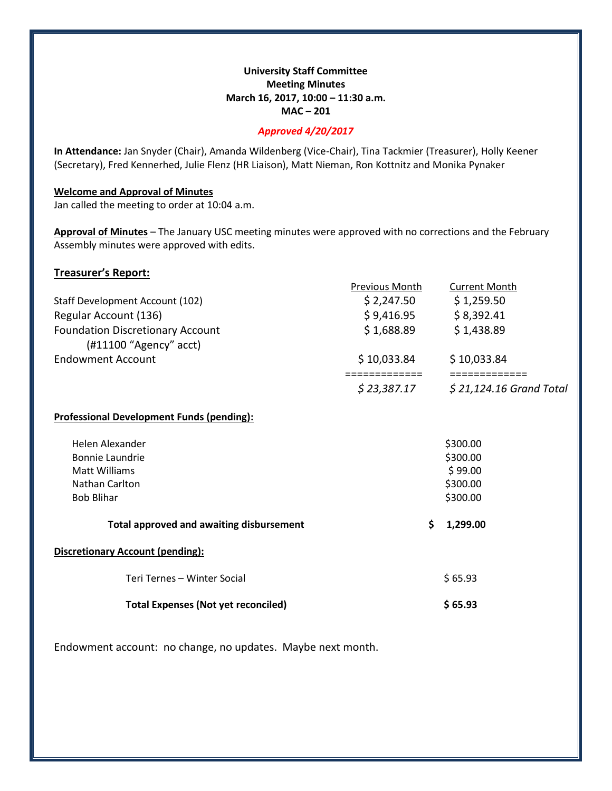# **University Staff Committee Meeting Minutes March 16, 2017, 10:00 – 11:30 a.m. MAC – 201**

## *Approved 4/20/2017*

**In Attendance:** Jan Snyder (Chair), Amanda Wildenberg (Vice-Chair), Tina Tackmier (Treasurer), Holly Keener (Secretary), Fred Kennerhed, Julie Flenz (HR Liaison), Matt Nieman, Ron Kottnitz and Monika Pynaker

#### **Welcome and Approval of Minutes**

Jan called the meeting to order at 10:04 a.m.

**Approval of Minutes** – The January USC meeting minutes were approved with no corrections and the February Assembly minutes were approved with edits.

# **Treasurer's Report:**

|                                                                     | Previous Month | <b>Current Month</b>                     |
|---------------------------------------------------------------------|----------------|------------------------------------------|
| Staff Development Account (102)                                     | \$ 2,247.50    | \$1,259.50                               |
| Regular Account (136)                                               | \$9,416.95     | \$8,392.41                               |
| <b>Foundation Discretionary Account</b><br>$(H11100$ "Agency" acct) | \$1,688.89     | \$1,438.89                               |
| <b>Endowment Account</b>                                            | \$10,033.84    | \$10,033.84                              |
|                                                                     | \$23,387.17    | ============<br>$$21,124.16$ Grand Total |
| <b>Professional Development Funds (pending):</b>                    |                |                                          |
| Helen Alexander                                                     |                | \$300.00                                 |
| <b>Bonnie Laundrie</b>                                              |                | \$300.00                                 |
| Matt Williams                                                       |                | \$99.00                                  |
| Nathan Carlton                                                      |                | \$300.00                                 |
| <b>Bob Blihar</b>                                                   |                | \$300.00                                 |
| <b>Total approved and awaiting disbursement</b>                     | Ŝ.             | 1,299.00                                 |
| <b>Discretionary Account (pending):</b>                             |                |                                          |

Teri Ternes – Winter Social \$ 65.93

**Total Expenses (Not yet reconciled) \$ 65.93**

Endowment account: no change, no updates. Maybe next month.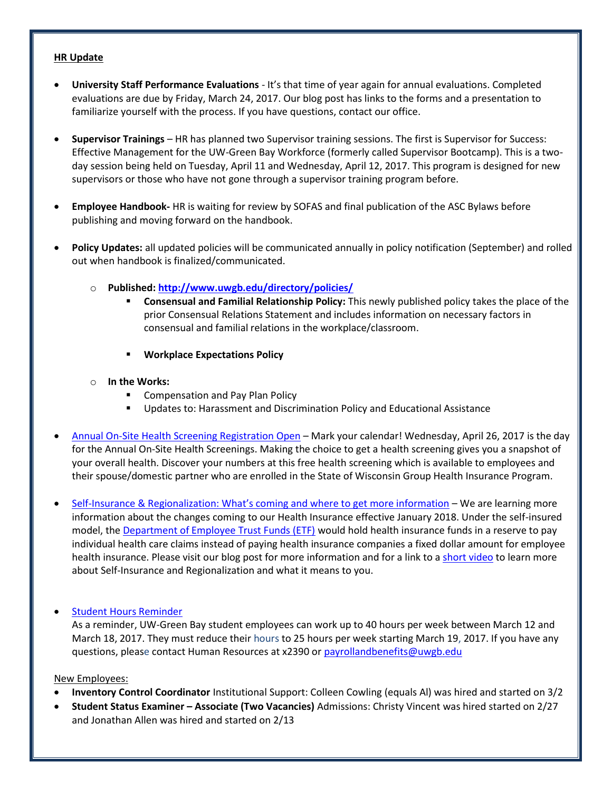## **HR Update**

- **University Staff Performance Evaluations** It's that time of year again for annual evaluations. Completed evaluations are due by Friday, March 24, 2017. Our blog post has links to the forms and a presentation to familiarize yourself with the process. If you have questions, contact our office.
- **Supervisor Trainings**  HR has planned two Supervisor training sessions. The first is Supervisor for Success: Effective Management for the UW-Green Bay Workforce (formerly called Supervisor Bootcamp). This is a twoday session being held on Tuesday, April 11 and Wednesday, April 12, 2017. This program is designed for new supervisors or those who have not gone through a supervisor training program before.
- **Employee Handbook-** HR is waiting for review by SOFAS and final publication of the ASC Bylaws before publishing and moving forward on the handbook.
- **Policy Updates:** all updated policies will be communicated annually in policy notification (September) and rolled out when handbook is finalized/communicated.
	- o **Published:<http://www.uwgb.edu/directory/policies/>**
		- **Consensual and Familial Relationship Policy:** This newly published policy takes the place of the prior Consensual Relations Statement and includes information on necessary factors in consensual and familial relations in the workplace/classroom.
		- **Workplace Expectations Policy**
	- o **In the Works:**
		- **EXECOMPENSATION AND PAY Plan Policy**
		- Updates to: Harassment and Discrimination Policy and Educational Assistance
- [Annual On-Site Health Screening Registration Open](http://blog.uwgb.edu/hr/2017/02/annual-on-site-health-screening-registration-open/) Mark your calendar! Wednesday, April 26, 2017 is the day for the Annual On-Site Health Screenings. Making the choice to get a health screening gives you a snapshot of your overall health. Discover your numbers at this free health screening which is available to employees and their spouse/domestic partner who are enrolled in the State of Wisconsin Group Health Insurance Program.
- Self-[Insurance & Regionalization: What's coming and where to get more information](http://blog.uwgb.edu/hr/2017/03/self-insurance-regionalization-whats-coming-and-where-to-get-more-information/) We are learning more information about the changes coming to our Health Insurance effective January 2018. Under the self-insured model, the [Department of Employee Trust Funds \(ETF\)](http://etf.wi.gov/) would hold health insurance funds in a reserve to pay individual health care claims instead of paying health insurance companies a fixed dollar amount for employee health insurance. Please visit our blog post for more information and for a link to a [short video](http://etf.wi.gov/videos/self_insurance2.htm) to learn more about Self-Insurance and Regionalization and what it means to you.
- [Student Hours Reminder](http://blog.uwgb.edu/hr/2017/03/student-hours-reminder/)

As a reminder, UW-Green Bay student employees can work up to 40 hours per week between March 12 and March 18, 2017. They must reduce their hours to 25 hours per week starting March 19, 2017. If you have any questions, please contact Human Resources at x2390 or [payrollandbenefits@uwgb.edu](mailto:payrollandbenefits@uwgb.edu)

New Employees:

- **Inventory Control Coordinator** Institutional Support: Colleen Cowling (equals Al) was hired and started on 3/2
- **Student Status Examiner – Associate (Two Vacancies)** Admissions: Christy Vincent was hired started on 2/27 and Jonathan Allen was hired and started on 2/13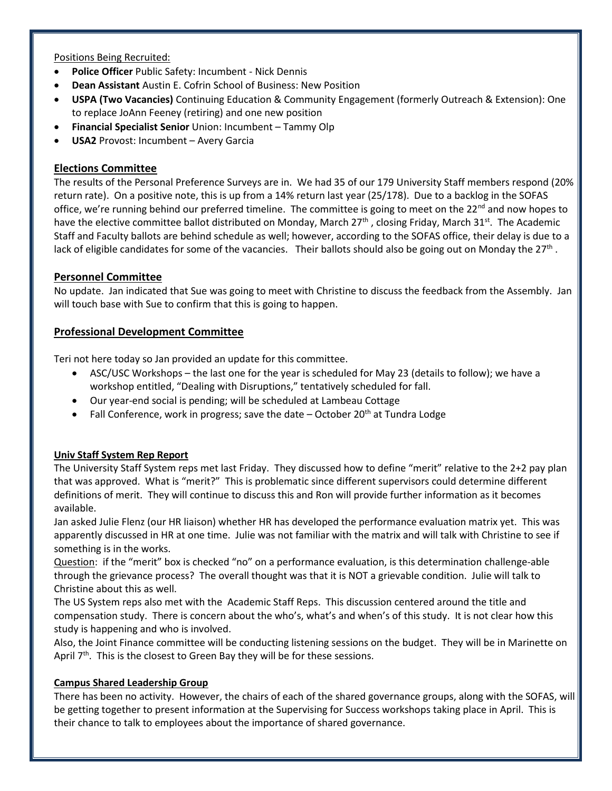Positions Being Recruited:

- **Police Officer** Public Safety: Incumbent Nick Dennis
- **Dean Assistant** Austin E. Cofrin School of Business: New Position
- **USPA (Two Vacancies)** Continuing Education & Community Engagement (formerly Outreach & Extension): One to replace JoAnn Feeney (retiring) and one new position
- **Financial Specialist Senior** Union: Incumbent Tammy Olp
- **USA2** Provost: Incumbent Avery Garcia

# **Elections Committee**

The results of the Personal Preference Surveys are in. We had 35 of our 179 University Staff members respond (20% return rate). On a positive note, this is up from a 14% return last year (25/178). Due to a backlog in the SOFAS office, we're running behind our preferred timeline. The committee is going to meet on the 22<sup>nd</sup> and now hopes to have the elective committee ballot distributed on Monday, March 27<sup>th</sup>, closing Friday, March 31<sup>st</sup>. The Academic Staff and Faculty ballots are behind schedule as well; however, according to the SOFAS office, their delay is due to a lack of eligible candidates for some of the vacancies. Their ballots should also be going out on Monday the 27<sup>th</sup>.

# **Personnel Committee**

No update. Jan indicated that Sue was going to meet with Christine to discuss the feedback from the Assembly. Jan will touch base with Sue to confirm that this is going to happen.

# **Professional Development Committee**

Teri not here today so Jan provided an update for this committee.

- ASC/USC Workshops the last one for the year is scheduled for May 23 (details to follow); we have a workshop entitled, "Dealing with Disruptions," tentatively scheduled for fall.
- Our year-end social is pending; will be scheduled at Lambeau Cottage
- Fall Conference, work in progress; save the date  $-$  October 20<sup>th</sup> at Tundra Lodge

## **Univ Staff System Rep Report**

The University Staff System reps met last Friday. They discussed how to define "merit" relative to the 2+2 pay plan that was approved. What is "merit?" This is problematic since different supervisors could determine different definitions of merit. They will continue to discuss this and Ron will provide further information as it becomes available.

Jan asked Julie Flenz (our HR liaison) whether HR has developed the performance evaluation matrix yet. This was apparently discussed in HR at one time. Julie was not familiar with the matrix and will talk with Christine to see if something is in the works.

Question: if the "merit" box is checked "no" on a performance evaluation, is this determination challenge-able through the grievance process? The overall thought was that it is NOT a grievable condition. Julie will talk to Christine about this as well.

The US System reps also met with the Academic Staff Reps. This discussion centered around the title and compensation study. There is concern about the who's, what's and when's of this study. It is not clear how this study is happening and who is involved.

Also, the Joint Finance committee will be conducting listening sessions on the budget. They will be in Marinette on April  $7<sup>th</sup>$ . This is the closest to Green Bay they will be for these sessions.

## **Campus Shared Leadership Group**

There has been no activity. However, the chairs of each of the shared governance groups, along with the SOFAS, will be getting together to present information at the Supervising for Success workshops taking place in April. This is their chance to talk to employees about the importance of shared governance.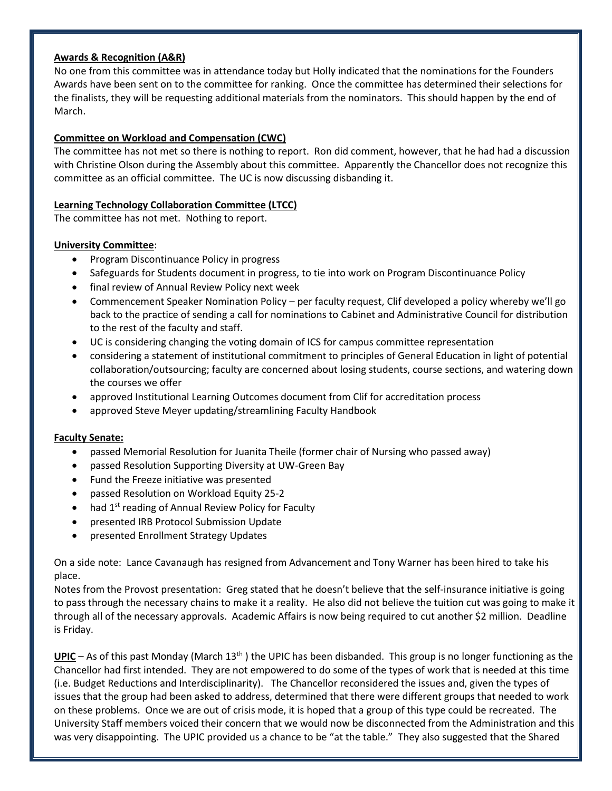## **Awards & Recognition (A&R)**

No one from this committee was in attendance today but Holly indicated that the nominations for the Founders Awards have been sent on to the committee for ranking. Once the committee has determined their selections for the finalists, they will be requesting additional materials from the nominators. This should happen by the end of March.

# **Committee on Workload and Compensation (CWC)**

The committee has not met so there is nothing to report. Ron did comment, however, that he had had a discussion with Christine Olson during the Assembly about this committee. Apparently the Chancellor does not recognize this committee as an official committee. The UC is now discussing disbanding it.

# **Learning Technology Collaboration Committee (LTCC)**

The committee has not met. Nothing to report.

# **University Committee**:

- Program Discontinuance Policy in progress
- Safeguards for Students document in progress, to tie into work on Program Discontinuance Policy
- final review of Annual Review Policy next week
- Commencement Speaker Nomination Policy per faculty request, Clif developed a policy whereby we'll go back to the practice of sending a call for nominations to Cabinet and Administrative Council for distribution to the rest of the faculty and staff.
- UC is considering changing the voting domain of ICS for campus committee representation
- considering a statement of institutional commitment to principles of General Education in light of potential collaboration/outsourcing; faculty are concerned about losing students, course sections, and watering down the courses we offer
- approved Institutional Learning Outcomes document from Clif for accreditation process
- approved Steve Meyer updating/streamlining Faculty Handbook

## **Faculty Senate:**

- passed Memorial Resolution for Juanita Theile (former chair of Nursing who passed away)
- passed Resolution Supporting Diversity at UW-Green Bay
- Fund the Freeze initiative was presented
- passed Resolution on Workload Equity 25-2
- $\bullet$  had 1<sup>st</sup> reading of Annual Review Policy for Faculty
- presented IRB Protocol Submission Update
- presented Enrollment Strategy Updates

On a side note: Lance Cavanaugh has resigned from Advancement and Tony Warner has been hired to take his place.

Notes from the Provost presentation: Greg stated that he doesn't believe that the self-insurance initiative is going to pass through the necessary chains to make it a reality. He also did not believe the tuition cut was going to make it through all of the necessary approvals. Academic Affairs is now being required to cut another \$2 million. Deadline is Friday.

**UPIC** – As of this past Monday (March 13<sup>th</sup>) the UPIC has been disbanded. This group is no longer functioning as the Chancellor had first intended. They are not empowered to do some of the types of work that is needed at this time (i.e. Budget Reductions and Interdisciplinarity). The Chancellor reconsidered the issues and, given the types of issues that the group had been asked to address, determined that there were different groups that needed to work on these problems. Once we are out of crisis mode, it is hoped that a group of this type could be recreated. The University Staff members voiced their concern that we would now be disconnected from the Administration and this was very disappointing. The UPIC provided us a chance to be "at the table." They also suggested that the Shared